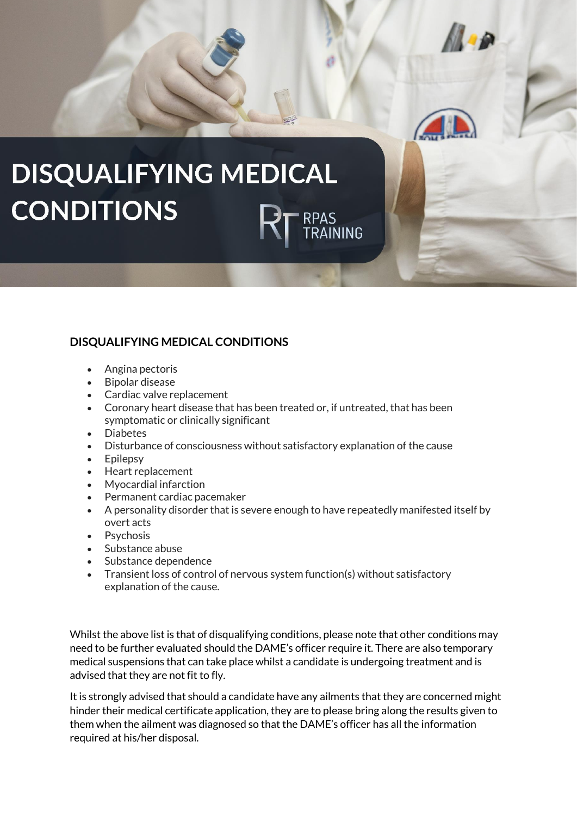

## **DISQUALIFYING MEDICAL CONDITIONS**

- Angina pectoris
- Bipolar disease
- Cardiac valve replacement
- Coronary heart disease that has been treated or, if untreated, that has been symptomatic or clinically significant
- Diabetes
- Disturbance of consciousness without satisfactory explanation of the cause
- Epilepsy
- Heart replacement
- Myocardial infarction
- Permanent cardiac pacemaker
- A personality disorder that is severe enough to have repeatedly manifested itself by overt acts
- Psychosis
- Substance abuse
- Substance dependence
- Transient loss of control of nervous system function(s) without satisfactory explanation of the cause.

Whilst the above list is that of disqualifying conditions, please note that other conditions may need to be further evaluated should the DAME's officer require it. There are also temporary medical suspensions that can take place whilst a candidate is undergoing treatment and is advised that they are not fit to fly.

It is strongly advised that should a candidate have any ailments that they are concerned might hinder their medical certificate application, they are to please bring along the results given to them when the ailment was diagnosed so that the DAME's officer has all the information required at his/her disposal.